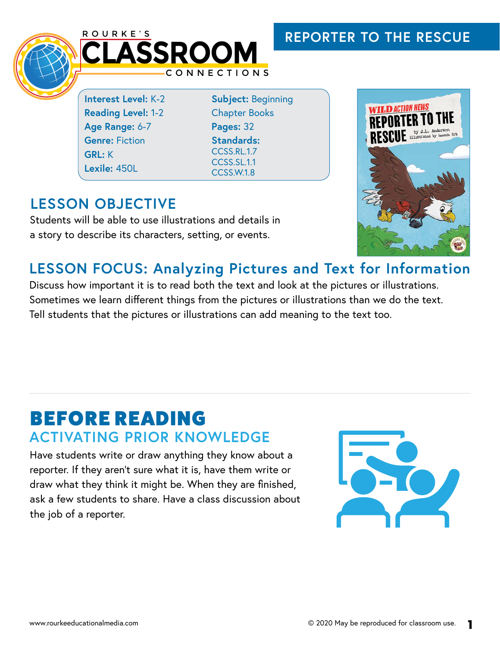## **REPORTER TO THE RESCUE**



**Interest Level:** K-2 **Reading Level:** 1-2 **Age Range:** 6-7 **Genre:** Fiction **GRL:** K **Lexile:** 450L

**Subject:** Beginning Chapter Books **Pages:** 32 **Standards:**  CCSS RL.17 CCSS.SL.1.1 CCSS.W.1.8

## **LESSON OBJECTIVE**

Students will be able to use illustrations and details in a story to describe its characters, setting, or events.



#### **LESSON FOCUS: Analyzing Pictures and Text for Information**

Discuss how important it is to read both the text and look at the pictures or illustrations. Sometimes we learn different things from the pictures or illustrations than we do the text. Tell students that the pictures or illustrations can add meaning to the text too.

## BEFORE READING **ACTIVATING PRIOR KNOWLEDGE**

Have students write or draw anything they know about a reporter. If they aren't sure what it is, have them write or draw what they think it might be. When they are finished, ask a few students to share. Have a class discussion about the job of a reporter.

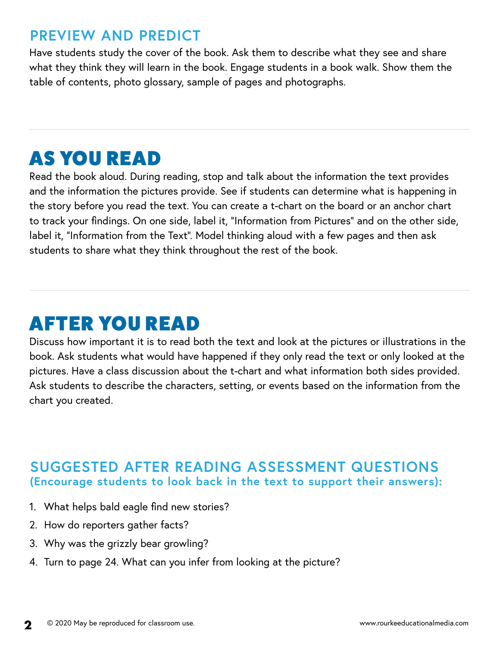#### **PREVIEW AND PREDICT**

Have students study the cover of the book. Ask them to describe what they see and share what they think they will learn in the book. Engage students in a book walk. Show them the table of contents, photo glossary, sample of pages and photographs.

# AS YOU READ

Read the book aloud. During reading, stop and talk about the information the text provides and the information the pictures provide. See if students can determine what is happening in the story before you read the text. You can create a t-chart on the board or an anchor chart to track your findings. On one side, label it, "Information from Pictures" and on the other side, label it, "Information from the Text". Model thinking aloud with a few pages and then ask students to share what they think throughout the rest of the book.

# AFTER YOU READ

Discuss how important it is to read both the text and look at the pictures or illustrations in the book. Ask students what would have happened if they only read the text or only looked at the pictures. Have a class discussion about the t-chart and what information both sides provided. Ask students to describe the characters, setting, or events based on the information from the chart you created.

#### **SUGGESTED AFTER READING ASSESSMENT QUESTIONS (Encourage students to look back in the text to support their answers):**

- 1. What helps bald eagle find new stories?
- 2. How do reporters gather facts?
- 3. Why was the grizzly bear growling?
- 4. Turn to page 24. What can you infer from looking at the picture?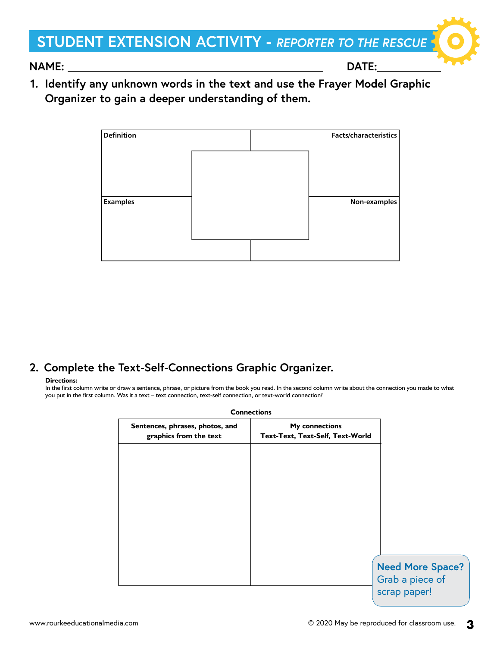## **STUDENT EXTENSION ACTIVITY -** *REPORTER TO THE RESCUE*

**NAME: DATE:** 

**1. Identify any unknown words in the text and use the Frayer Model Graphic Organizer to gain a deeper understanding of them.**

| <b>Definition</b> |  | Facts/characteristics |
|-------------------|--|-----------------------|
|                   |  |                       |
|                   |  |                       |
|                   |  |                       |
| <b>Examples</b>   |  | Non-examples          |
|                   |  |                       |
|                   |  |                       |
|                   |  |                       |

#### **2. Complete the Text-Self-Connections Graphic Organizer.**

#### **Directions:**

In the first column write or draw a sentence, phrase, or picture from the book you read. In the second column write about the connection you made to what you put in the first column. Was it a text – text connection, text-self connection, or text-world connection?

| <b>Connections</b>                                                                                                     |  |
|------------------------------------------------------------------------------------------------------------------------|--|
| <b>My connections</b><br>Sentences, phrases, photos, and<br>Text-Text, Text-Self, Text-World<br>graphics from the text |  |
|                                                                                                                        |  |
|                                                                                                                        |  |
|                                                                                                                        |  |
|                                                                                                                        |  |
|                                                                                                                        |  |
| <b>Need More Space?</b><br>Grab a piece of<br>scrap paper!                                                             |  |